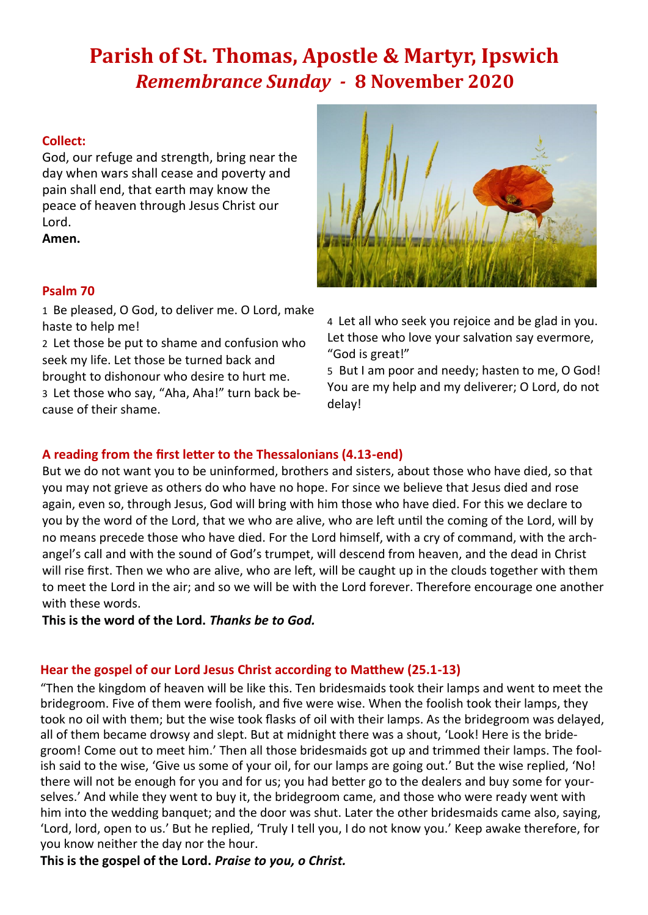# **Parish of St. Thomas, Apostle & Martyr, Ipswich** *Remembrance Sunday -* **8 November 2020**

## **Collect:**

God, our refuge and strength, bring near the day when wars shall cease and poverty and pain shall end, that earth may know the peace of heaven through Jesus Christ our Lord.

**Amen.**

## **Psalm 70**

1 Be pleased, O God, to deliver me. O Lord, make haste to help me!

2 Let those be put to shame and confusion who seek my life. Let those be turned back and brought to dishonour who desire to hurt me. 3 Let those who say, "Aha, Aha!" turn back because of their shame.



4 Let all who seek you rejoice and be glad in you. Let those who love your salvation say evermore, "God is great!"

5 But I am poor and needy; hasten to me, O God! You are my help and my deliverer; O Lord, do not delay!

## **A reading from the first letter to the Thessalonians (4.13-end)**

But we do not want you to be uninformed, brothers and sisters, about those who have died, so that you may not grieve as others do who have no hope. For since we believe that Jesus died and rose again, even so, through Jesus, God will bring with him those who have died. For this we declare to you by the word of the Lord, that we who are alive, who are left until the coming of the Lord, will by no means precede those who have died. For the Lord himself, with a cry of command, with the archangel's call and with the sound of God's trumpet, will descend from heaven, and the dead in Christ will rise first. Then we who are alive, who are left, will be caught up in the clouds together with them to meet the Lord in the air; and so we will be with the Lord forever. Therefore encourage one another with these words.

**This is the word of the Lord.** *Thanks be to God.*

## **Hear the gospel of our Lord Jesus Christ according to Matthew (25.1-13)**

"Then the kingdom of heaven will be like this. Ten bridesmaids took their lamps and went to meet the bridegroom. Five of them were foolish, and five were wise. When the foolish took their lamps, they took no oil with them; but the wise took flasks of oil with their lamps. As the bridegroom was delayed, all of them became drowsy and slept. But at midnight there was a shout, 'Look! Here is the bridegroom! Come out to meet him.' Then all those bridesmaids got up and trimmed their lamps. The foolish said to the wise, 'Give us some of your oil, for our lamps are going out.' But the wise replied, 'No! there will not be enough for you and for us; you had better go to the dealers and buy some for yourselves.' And while they went to buy it, the bridegroom came, and those who were ready went with him into the wedding banquet; and the door was shut. Later the other bridesmaids came also, saying, 'Lord, lord, open to us.' But he replied, 'Truly I tell you, I do not know you.' Keep awake therefore, for you know neither the day nor the hour.

**This is the gospel of the Lord.** *Praise to you, o Christ.*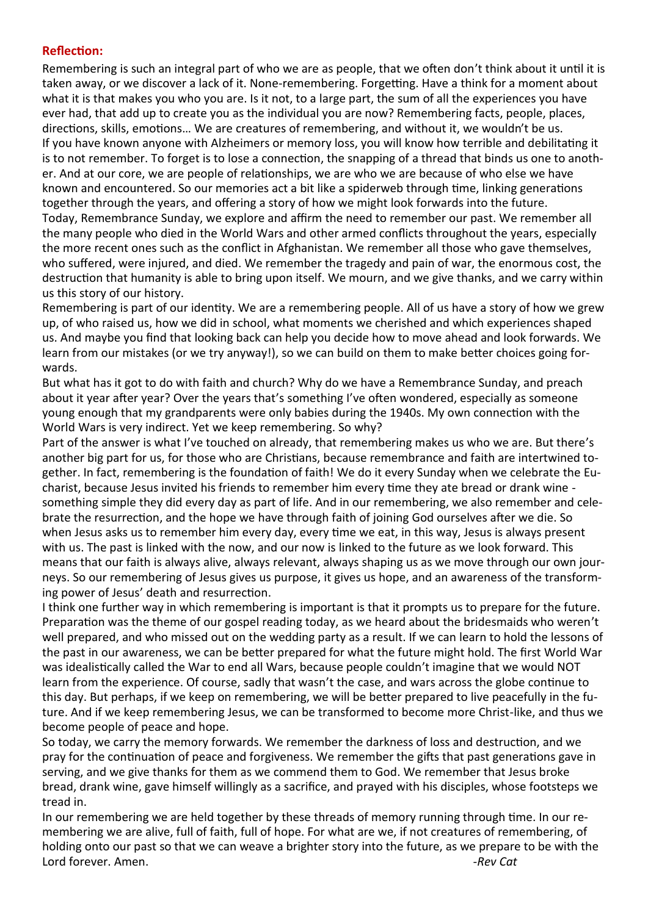#### **Reflection:**

Remembering is such an integral part of who we are as people, that we often don't think about it until it is taken away, or we discover a lack of it. None-remembering. Forgetting. Have a think for a moment about what it is that makes you who you are. Is it not, to a large part, the sum of all the experiences you have ever had, that add up to create you as the individual you are now? Remembering facts, people, places, directions, skills, emotions… We are creatures of remembering, and without it, we wouldn't be us. If you have known anyone with Alzheimers or memory loss, you will know how terrible and debilitating it is to not remember. To forget is to lose a connection, the snapping of a thread that binds us one to another. And at our core, we are people of relationships, we are who we are because of who else we have known and encountered. So our memories act a bit like a spiderweb through time, linking generations together through the years, and offering a story of how we might look forwards into the future. Today, Remembrance Sunday, we explore and affirm the need to remember our past. We remember all the many people who died in the World Wars and other armed conflicts throughout the years, especially the more recent ones such as the conflict in Afghanistan. We remember all those who gave themselves, who suffered, were injured, and died. We remember the tragedy and pain of war, the enormous cost, the destruction that humanity is able to bring upon itself. We mourn, and we give thanks, and we carry within us this story of our history.

Remembering is part of our identity. We are a remembering people. All of us have a story of how we grew up, of who raised us, how we did in school, what moments we cherished and which experiences shaped us. And maybe you find that looking back can help you decide how to move ahead and look forwards. We learn from our mistakes (or we try anyway!), so we can build on them to make better choices going forwards.

But what has it got to do with faith and church? Why do we have a Remembrance Sunday, and preach about it year after year? Over the years that's something I've often wondered, especially as someone young enough that my grandparents were only babies during the 1940s. My own connection with the World Wars is very indirect. Yet we keep remembering. So why?

Part of the answer is what I've touched on already, that remembering makes us who we are. But there's another big part for us, for those who are Christians, because remembrance and faith are intertwined together. In fact, remembering is the foundation of faith! We do it every Sunday when we celebrate the Eucharist, because Jesus invited his friends to remember him every time they ate bread or drank wine something simple they did every day as part of life. And in our remembering, we also remember and celebrate the resurrection, and the hope we have through faith of joining God ourselves after we die. So when Jesus asks us to remember him every day, every time we eat, in this way, Jesus is always present with us. The past is linked with the now, and our now is linked to the future as we look forward. This means that our faith is always alive, always relevant, always shaping us as we move through our own journeys. So our remembering of Jesus gives us purpose, it gives us hope, and an awareness of the transforming power of Jesus' death and resurrection.

I think one further way in which remembering is important is that it prompts us to prepare for the future. Preparation was the theme of our gospel reading today, as we heard about the bridesmaids who weren't well prepared, and who missed out on the wedding party as a result. If we can learn to hold the lessons of the past in our awareness, we can be better prepared for what the future might hold. The first World War was idealistically called the War to end all Wars, because people couldn't imagine that we would NOT learn from the experience. Of course, sadly that wasn't the case, and wars across the globe continue to this day. But perhaps, if we keep on remembering, we will be better prepared to live peacefully in the future. And if we keep remembering Jesus, we can be transformed to become more Christ-like, and thus we become people of peace and hope.

So today, we carry the memory forwards. We remember the darkness of loss and destruction, and we pray for the continuation of peace and forgiveness. We remember the gifts that past generations gave in serving, and we give thanks for them as we commend them to God. We remember that Jesus broke bread, drank wine, gave himself willingly as a sacrifice, and prayed with his disciples, whose footsteps we tread in.

In our remembering we are held together by these threads of memory running through time. In our remembering we are alive, full of faith, full of hope. For what are we, if not creatures of remembering, of holding onto our past so that we can weave a brighter story into the future, as we prepare to be with the Lord forever. Amen. *-Rev Cat*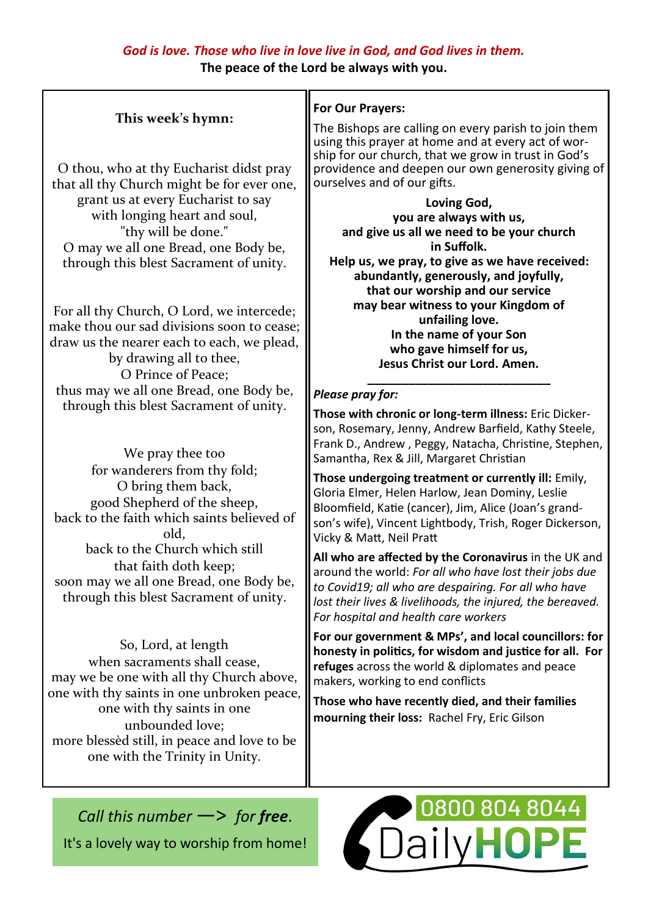## *God is love. Those who live in love live in God, and God lives in them.*

**The peace of the Lord be always with you.**

## **This week's hymn:**

O thou, who at thy Eucharist didst pray that all thy Church might be for ever one, grant us at every Eucharist to say with longing heart and soul, "thy will be done." O may we all one Bread, one Body be, through this blest Sacrament of unity.

For all thy Church, O Lord, we intercede; make thou our sad divisions soon to cease; draw us the nearer each to each, we plead, by drawing all to thee, O Prince of Peace; thus may we all one Bread, one Body be, through this blest Sacrament of unity.

We pray thee too for wanderers from thy fold; O bring them back, good Shepherd of the sheep, back to the faith which saints believed of old, back to the Church which still that faith doth keep; soon may we all one Bread, one Body be, through this blest Sacrament of unity.

So, Lord, at length when sacraments shall cease, may we be one with all thy Church above, one with thy saints in one unbroken peace, one with thy saints in one unbounded love; more blessèd still, in peace and love to be one with the Trinity in Unity.

## **For Our Prayers:**

The Bishops are calling on every parish to join them using this prayer at home and at every act of worship for our church, that we grow in trust in God's providence and deepen our own generosity giving of ourselves and of our gifts.

**Loving God, you are always with us, and give us all we need to be your church in Suffolk. Help us, we pray, to give as we have received: abundantly, generously, and joyfully, that our worship and our service may bear witness to your Kingdom of unfailing love. In the name of your Son who gave himself for us, Jesus Christ our Lord. Amen.**

#### **\_\_\_\_\_\_\_\_\_\_\_\_\_\_\_\_\_\_\_\_\_\_\_\_\_\_\_** *Please pray for:*

**Those with chronic or long-term illness:** Eric Dickerson, Rosemary, Jenny, Andrew Barfield, Kathy Steele, Frank D., Andrew , Peggy, Natacha, Christine, Stephen, Samantha, Rex & Jill, Margaret Christian

**Those undergoing treatment or currently ill:** Emily, Gloria Elmer, Helen Harlow, Jean Dominy, Leslie Bloomfield, Katie (cancer), Jim, Alice (Joan's grandson's wife), Vincent Lightbody, Trish, Roger Dickerson, Vicky & Matt, Neil Pratt

**All who are affected by the Coronavirus** in the UK and around the world: *For all who have lost their jobs due to Covid19; all who are despairing. For all who have lost their lives & livelihoods, the injured, the bereaved. For hospital and health care workers*

**For our government & MPs', and local councillors: for honesty in politics, for wisdom and justice for all. For refuges** across the world & diplomates and peace makers, working to end conflicts

**Those who have recently died, and their families mourning their loss:** Rachel Fry, Eric Gilson

*Call this number* —> *for free*. It's a lovely way to worship from home!